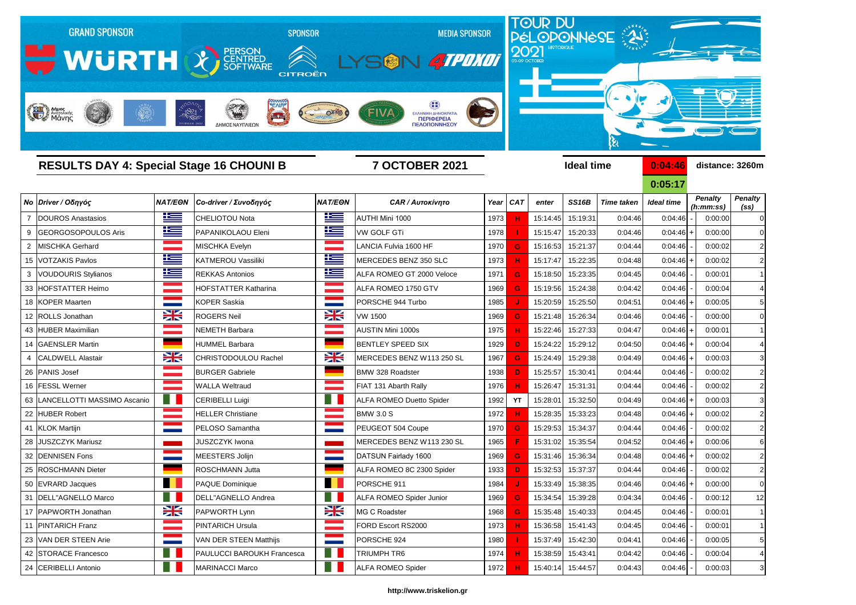

## *Νο Driver / Οδηγός NAT/EΘΝ Co-driver / Συνοδηγός NAT/EΘΝ CAR / Αυτοκίνητο Year CAT enter SS16B Time taken Ideal time* 7 DOUROS Anastasios CHELIOTOU Nota AUTHI Mini 1000 1973 **H** 15:14:45 15:19:31 0:04:46 0:04:46 - 0:00:00 0 9 GEORGOSOPOULOS Aris **PAPANIKOLAOU Eleni IES VW GOLF GTI** 1978 **| 1978 | 1978 | 15:15:47** 15:20:33 0:04:46 2 MISCHKA Gerhard MISCHKA Evelyn LANCIA Fulvia 1600 HF 1970 <mark> G </mark> 15:16:53 15:21:37 0:04:44 0:04:46 - | 0:00:02 2 15 VOTZAKIS Pavlos KATMEROU Vassiliki MERCEDES BENZ 350 SLC 1973 **H** 15:17:47 15:22:35 0:04:48 0:04:46 + 0:00:02 2 3 VOUDOURIS Stylianos **REKKAS Antonios REKKAS Antonios Reference** 1971 **G** 15:18:50 15:23:35 0:04:45 33 HOFSTATTER Heimo HOFSTATTER Katharina ALFA ROMEO 1750 GTV 1969 **G** 15:19:56 15:24:38 0:04:42 0:04:46 - 0:00:04 4 18 KOPER Maarten KOPER Saskia PORSCHE 944 Turbo 1985 <mark> J </mark> 15:20:59 15:25:50 0:04:51 0:04:46 + 0:00:05 5 12 ROLLS Jonathan ROGERS Neil VW 1500 1969 **G** 15:21:48 15:26:34 0:04:46 0:04:46 - 0:00:00 0 43 HUBER Maximilian NEMETH Barbara AUSTIN Mini 1000s 1975 **H** 15:22:46 15:27:33 0:04:47 0:04:46 + 0:00:01 1 14 GAENSLER Martin HUMMEL Barbara BENTLEY SPEED SIX 1929 <mark> D </mark> 15:24:22 15:29:12 0:04:50 0:04:46 + 0:00:04 4 4 CALDWELL Alastair **CHRISTODOULOU Rachel MERCEDES BENZ W113 250 SL** 1967 **G** 15:24:49 15:29:38 0:04:49 26 PANIS Josef BURGER Gabriele BMW 328 Roadster 1938  **D**  15:25:57 15:30:41 0:04:44 0:04:46 - 0:00:02 2 16 FESSL Werner WALLA Weltraud FIAT 131 Abarth Rally 1976 **H** 15:26:47 15:31:31 0:04:44 0:04:46 - 0:00:02 2 63 LANCELLOTTI MASSIMO Ascanio **CERIBELLI Luigi** ALFA ROMEO Duetto Spider 1992 **YT** 15:28:01 15:32:50 0:04:49 22 HUBER Robert HELLER Christiane BMW 3.0 S 1972 <mark> H </mark> 15:28:35 15:33:23 0:04:48 0:04:46 + 0:00:02 2 41 KLOK Martijn PELOSO Samantha PEUGEOT 504 Coupe 1970 <mark> G </mark> 15:29:53 15:34:37 0:04:44 0:04:46 - | 0:00:02 2 28 JUSZCZYK Mariusz **JUSZCZYK Iwona MERCEDES BENZ W113 230 SL 1965 F | 15**:31:02 | 15:35:54 | 0:04:52 32 |DENNISEN Fons MEESTERS Jolijn DATSUN Fairlady 1600 1969 15:31:46 15:36:34 0:04:48 0:04:46 2 25 ROSCHMANN Dieter ROSCHMANN Jutta ALFA ROMEO 8C 2300 Spider 1933 **D 1** 15:32:53 15:37:37 0:04:44 50 EVRARD Jacques PAQUE Dominique PORSCHE 911 1984 <mark> J </mark> 15:33:49 15:38:35 0:04:46 0:04:46 <del>|</del> + | 0:00:00 | 0 31 DELL"AGNELLO Marco **DELL"AGNELLO Andrea** ALFA ROMEO Spider Junior 1969 **G** 15:34:54 15:39:28 0:04:34 17 PAPWORTH Jonathan **PAPWORTH Lynn BAPWORTH Lynn MG C Roadster** 1968 **G** 15:35:48 15:40:33 0:04:45 0:04:46 |- 0:00:01 1 11 PINTARICH Franz PINTARICH Ursula FORD Escort RS2000 1973 **H** 15:36:58 15:41:43 0:04:45 0:04:46 - 0:00:01 1 23 VAN DER STEEN Arie VAN DER STEEN Matthijs PORSCHE 924 1980 <mark> </mark>15:37:49 15:42:30 0:04:41 0:04:46 5 42 STORACE Francesco PAULUCCI BAROUKH Francesca TRIUMPH TR6 1974 **H** 15:38:59 15:43:41 0:04:42 24 CERIBELLI Antonio MARINACCI Marco ALFA ROMEO Spider 1972 **H** 15:40:14 15:44:57 0:04:43 0:04:46 - 0:00:03 3

| 0:04:46           | distance: 3260m          |                             |                                     |  |  |  |  |  |  |
|-------------------|--------------------------|-----------------------------|-------------------------------------|--|--|--|--|--|--|
| 0:05:17           |                          |                             |                                     |  |  |  |  |  |  |
| <b>Ideal time</b> |                          | <b>Penalty</b><br>(h:mm:ss) | <b>Penalty</b><br>(s <sub>s</sub> ) |  |  |  |  |  |  |
| 0:04:46           |                          | 0:00:00                     | 0                                   |  |  |  |  |  |  |
| 0:04:46           | $\ddot{}$                | 0:00:00                     | 0                                   |  |  |  |  |  |  |
| 0:04:46           | -                        | 0:00:02                     | 2                                   |  |  |  |  |  |  |
| 0:04:46           | $\ddot{}$                | 0:00:02                     | 2                                   |  |  |  |  |  |  |
| 0:04:46           | $\overline{\phantom{0}}$ | 0:00:01                     | 1                                   |  |  |  |  |  |  |
| 0:04:46           | $\overline{\phantom{0}}$ | 0:00:04                     | 4                                   |  |  |  |  |  |  |
| 0:04:46           | $\ddot{}$                | 0:00:05                     | 5                                   |  |  |  |  |  |  |
| 0:04:46           | -                        | 0:00:00                     | 0                                   |  |  |  |  |  |  |
| 0:04:46           | $\ddot{}$                | 0:00:01                     | 1                                   |  |  |  |  |  |  |
| 0:04:46           | $\ddot{}$                | 0:00:04                     | 4                                   |  |  |  |  |  |  |
| 0:04:46           | $\ddot{}$                | 0:00:03                     | 3                                   |  |  |  |  |  |  |
| 0:04:46           | -                        | 0:00:02                     | 2                                   |  |  |  |  |  |  |
| 0:04:46           | $\overline{\phantom{0}}$ | 0:00:02                     | 2                                   |  |  |  |  |  |  |
| 0:04:46           | $\ddot{}$                | 0:00:03                     | 3                                   |  |  |  |  |  |  |
| 0:04:46           | $\ddot{}$                | 0:00:02                     | 2                                   |  |  |  |  |  |  |
| 0:04:46           | $\overline{\phantom{0}}$ | 0:00:02                     | 2                                   |  |  |  |  |  |  |
| 0:04:46           | $\ddot{}$                | 0:00:06                     | 6                                   |  |  |  |  |  |  |
| 0:04:46           | +                        | 0:00:02                     | 2                                   |  |  |  |  |  |  |
| 0:04:46           |                          | 0:00:02                     | $\overline{2}$                      |  |  |  |  |  |  |
| 0:04:46           |                          | 0:00:00                     | 0                                   |  |  |  |  |  |  |
| 0:04:46           |                          | 0:00:12                     | 12                                  |  |  |  |  |  |  |
| 0:04:46           | $\overline{\phantom{a}}$ | 0:00:01                     | 1                                   |  |  |  |  |  |  |
| 0:04:46           |                          | 0:00:01                     | 1                                   |  |  |  |  |  |  |
| 0:04:46           |                          | 0:00:05                     | 5                                   |  |  |  |  |  |  |
| 0:04:46           | -                        | 0:00:04                     | 4                                   |  |  |  |  |  |  |
| $0.04 - 46$       |                          | 0.00.03                     | 3                                   |  |  |  |  |  |  |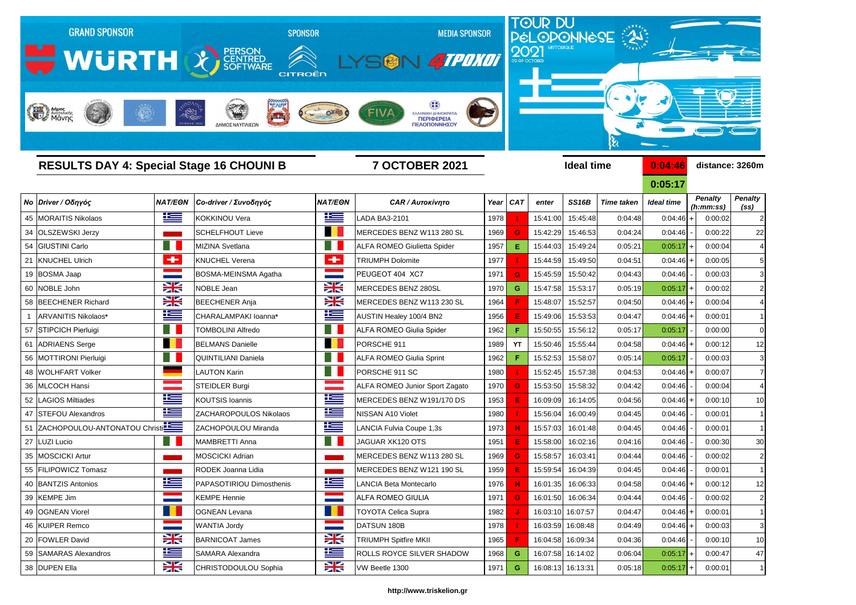

| <b>RESULTS DAY 4: Special Stage 16 CHOUNI B</b> |                                  |                    |                          | <b>7 OCTOBER 2021</b>  |                                       |      |            |          | <b>Ideal time</b> |                   | 0:04:46     | distance: 3260m             |                        |
|-------------------------------------------------|----------------------------------|--------------------|--------------------------|------------------------|---------------------------------------|------|------------|----------|-------------------|-------------------|-------------|-----------------------------|------------------------|
|                                                 |                                  |                    |                          |                        |                                       |      |            |          |                   |                   | 0:05:17     |                             |                        |
|                                                 | Νο Driver / Οδηγός               | <b>NAT/EON</b>     | Co-driver / Συνοδηγός    | <b>NAT/EON</b>         | <b>CAR / Αυτοκίνητο</b>               | Year | <b>CAT</b> | enter    | <b>SS16B</b>      | <b>Time taken</b> | Ideal time  | <b>Penalty</b><br>(h:mm:ss) | <b>Penalty</b><br>(SS) |
|                                                 | 45 MORAITIS Nikolaos             | <u>is a</u>        | <b>KOKKINOU Vera</b>     | <u>iks </u>            | LADA BA3-2101                         | 1978 |            | 15:41:00 | 15:45:48          | 0:04:48           | 0:04:46     | 0:00:02                     | 2                      |
|                                                 | 34 OLSZEWSKI Jerzy               |                    | <b>SCHELFHOUT Lieve</b>  | a se                   | MERCEDES BENZ W113 280 SL             | 1969 | G.         | 15:42:29 | 15:46:53          | 0:04:24           | 0:04:46     | 0:00:22                     | 22                     |
|                                                 | 54 GIUSTINI Carlo                |                    | <b>MIZINA Svetlana</b>   | ١H                     | <b>ALFA ROMEO Giulietta Spider</b>    | 1957 | Е.         | 15:44:03 | 15:49:24          | 0:05:21           | 0:05:17     | 0:00:04                     | 4                      |
|                                                 | 21 KNUCHEL Ulrich                | ÷                  | <b>KNUCHEL Verena</b>    | ÷                      | <b>TRIUMPH Dolomite</b>               | 1977 |            | 15:44:59 | 15:49:50          | 0:04:51           | 0:04:46     | 0:00:05                     |                        |
|                                                 | 19 BOSMA Jaap                    |                    | BOSMA-MEINSMA Agatha     |                        | PEUGEOT 404 XC7                       | 1971 | G.         | 15:45:59 | 15:50:42          | 0:04:43           | 0:04:46     | 0:00:03                     | 3                      |
|                                                 | 60 NOBLE John                    | $\frac{1}{2}$      | NOBLE Jean               | X                      | MERCEDES BENZ 280SL                   | 1970 | G          | 15:47:58 | 15:53:17          | 0:05:19           | 0:05:17     | 0:00:02                     | 2                      |
|                                                 | 58 BEECHENER Richard             | $\frac{1}{2}$      | <b>BEECHENER Anja</b>    | X                      | MERCEDES BENZ W113 230 SL             | 1964 |            | 15:48:07 | 15:52:57          | 0:04:50           | 0:04:46     | 0:00:04                     | 4                      |
| $\overline{1}$                                  | ARVANITIS Nikolaos*              | 些                  | CHARALAMPAKI Ioanna*     | <u>is </u>             | AUSTIN Healey 100/4 BN2               | 1956 |            | 15:49:06 | 15:53:53          | 0:04:47           | 0:04:46     | 0:00:01                     |                        |
|                                                 | 57 STIPCICH Pierluigi            |                    | <b>TOMBOLINI Alfredo</b> | ۰ı                     | <b>ALFA ROMEO Giulia Spider</b>       | 1962 |            | 15:50:55 | 15:56:12          | 0:05:17           | 0:05:17     | 0:00:00                     | 0                      |
|                                                 | 61 ADRIAENS Serge                | <b>Talent</b>      | <b>BELMANS Danielle</b>  | n e s                  | PORSCHE 911                           | 1989 | YT         | 15:50:46 | 15:55:44          | 0:04:58           | 0:04:46     | 0:00:12                     | 12                     |
|                                                 | 56 MOTTIRONI Pierluigi           |                    | QUINTILIANI Daniela      |                        | <b>ALFA ROMEO Giulia Sprint</b>       | 1962 |            | 15:52:53 | 15:58:07          | 0:05:14           | 0:05:17     | 0:00:03                     |                        |
|                                                 | 48 WOLHFART Volker               |                    | LAUTON Karin             | H                      | PORSCHE 911 SC                        | 1980 |            | 15:52:45 | 15:57:38          | 0:04:53           | 0:04:46     | 0:00:07                     |                        |
|                                                 | 36 MLCOCH Hansi                  |                    | <b>STEIDLER Burgi</b>    |                        | <b>ALFA ROMEO Junior Sport Zagato</b> | 1970 |            | 15:53:50 | 15:58:32          | 0:04:42           | 0:04:46     | 0:00:04                     | 4                      |
|                                                 | 52 LAGIOS Miltiades              | 些                  | <b>KOUTSIS Ioannis</b>   | <u>is </u>             | MERCEDES BENZ W191/170 DS             | 1953 |            | 16:09:09 | 16:14:05          | 0:04:56           | 0:04:46     | 0:00:10                     | 10                     |
|                                                 | 47 STEFOU Alexandros             | <u>ik –</u>        | ZACHAROPOULOS Nikolaos   | <u>ik s</u>            | NISSAN A10 Violet                     | 1980 |            | 15:56:04 | 16:00:49          | 0:04:45           | 0:04:46     | 0:00:01                     |                        |
|                                                 | 51 ZACHOPOULOU-ANTONATOU Christi |                    | ZACHOPOULOU Miranda      | 华                      | LANCIA Fulvia Coupe 1,3s              | 1973 |            | 15:57:03 | 16:01:48          | 0:04:45           | 0:04:46     | 0:00:01                     |                        |
|                                                 | 27 LUZI Lucio                    |                    | MAMBRETTI Anna           | ٠                      | JAGUAR XK120 OTS                      | 1951 |            | 15:58:00 | 16:02:16          | 0:04:16           | 0:04:46     | 0:00:30                     | 30                     |
|                                                 | 35 MOSCICKI Artur                |                    | <b>MOSCICKI Adrian</b>   |                        | MERCEDES BENZ W113 280 SL             | 1969 | G.         | 15:58:57 | 16:03:41          | 0:04:44           | 0:04:46     | 0:00:02                     | 2                      |
|                                                 | 55 FILIPOWICZ Tomasz             |                    | RODEK Joanna Lidia       |                        | MERCEDES BENZ W121 190 SL             | 1959 |            | 15:59:54 | 16:04:39          | 0:04:45           | 0:04:46     | 0:00:01                     |                        |
|                                                 | 40 BANTZIS Antonios              | Ñ<br><u>expert</u> | PAPASOTIRIOU Dimosthenis | Ñ<br>$\equiv$ $\equiv$ | LANCIA Beta Montecarlo                | 1976 |            |          | 16:01:35 16:06:33 | 0:04:58           | $0:04:46$ + | 0:00:12                     | 12                     |
|                                                 | 39 KEMPE Jim                     |                    | <b>KEMPE Hennie</b>      | <b>Contract</b>        | ALFA ROMEO GIULIA                     | 1971 | G          | 16:01:50 | 16:06:34          | 0:04:44           | 0:04:46     | 0:00:02                     | $\overline{2}$         |
|                                                 | 49 OGNEAN Viorel                 |                    | <b>OGNEAN Levana</b>     | a pro                  | <b>TOYOTA Celica Supra</b>            | 1982 |            |          | 16:03:10 16:07:57 | 0:04:47           | 0:04:46     | 0:00:01                     | 1                      |
|                                                 | 46 KUIPER Remco                  |                    | <b>WANTIA Jordy</b>      |                        | DATSUN 180B                           | 1978 |            |          | 16:03:59 16:08:48 | 0:04:49           | 0:04:46     | 0:00:03                     | 3                      |
|                                                 | 20 FOWLER David                  | $\geq$             | <b>BARNICOAT James</b>   | $\frac{1}{2}$          | <b>TRIUMPH Spitfire MKII</b>          | 1965 |            |          | 16:04:58 16:09:34 | 0:04:36           | 0:04:46     | 0:00:10                     | 10                     |
|                                                 | 59 SAMARAS Alexandros            | <u>ik s</u>        | <b>SAMARA Alexandra</b>  | <u>ik s</u>            | ROLLS ROYCE SILVER SHADOW             | 1968 | G          |          | 16:07:58 16:14:02 | 0:06:04           | 0:05:17     | 0:00:47                     | 47                     |
|                                                 | 38 DUPEN Ella                    | X                  | CHRISTODOULOU Sophia     | X                      | VW Beetle 1300                        | 1971 | G          |          | 16:08:13 16:13:31 | 0:05:18           | $0:05:17$ + | 0:00:01                     | $\mathbf{1}$           |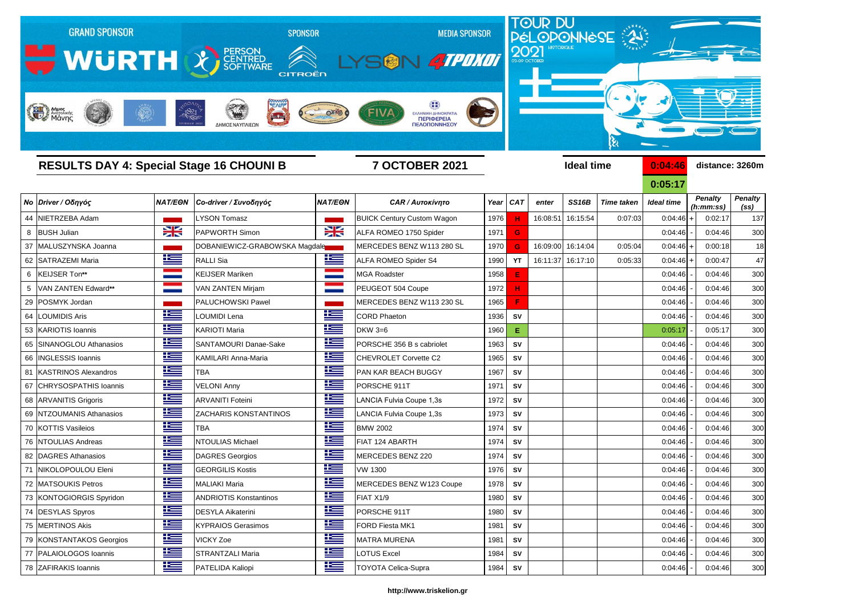

| <b>RESULTS DAY 4: Special Stage 16 CHOUNI B</b> |                           |                |                               | <b>7 OCTOBER 2021</b> |                                   |      |            |          | <b>Ideal time</b>  | 0:04:46           | distance: 3260m   |                             |                                     |
|-------------------------------------------------|---------------------------|----------------|-------------------------------|-----------------------|-----------------------------------|------|------------|----------|--------------------|-------------------|-------------------|-----------------------------|-------------------------------------|
|                                                 |                           |                |                               |                       |                                   |      |            |          |                    |                   | 0:05:17           |                             |                                     |
|                                                 | Νο Driver / Οδηγός        | <b>NAT/EON</b> | Co-driver / Συνοδηγός         | <b>NAT/EON</b>        | <b>CAR / Αυτοκίνητο</b>           |      | Year   CAT | enter    | SS <sub>16</sub> B | <b>Time taken</b> | <b>Ideal time</b> | <b>Penalty</b><br>(h:mm:ss) | <b>Penalty</b><br>(s <sub>s</sub> ) |
|                                                 | 44 NIETRZEBA Adam         |                | <b>LYSON Tomasz</b>           |                       | <b>BUICK Century Custom Wagon</b> | 1976 |            | 16:08:51 | 16:15:54           | 0:07:03           | 0:04:46           | 0:02:17                     | 137                                 |
|                                                 | 8 BUSH Julian             | $\geq$         | <b>PAPWORTH Simon</b>         | X                     | ALFA ROMEO 1750 Spider            | 1971 | G          |          |                    |                   | 0:04:46           | 0:04:46                     | 300                                 |
|                                                 | 37 MALUSZYNSKA Joanna     |                | DOBANIEWICZ-GRABOWSKA Magdale |                       | MERCEDES BENZ W113 280 SL         | 1970 | G          | 16:09:00 | 16:14:04           | 0:05:04           | 0:04:46           | 0:00:18                     | 18                                  |
|                                                 | 62 SATRAZEMI Maria        | <u>is </u>     | <b>RALLI Sia</b>              | <u>is</u>             | <b>ALFA ROMEO Spider S4</b>       | 1990 | YT         |          | 16:11:37 16:17:10  | 0:05:33           | 0:04:46           | 0:00:47                     | 47                                  |
| 6                                               | KEIJSER Ton**             |                | <b>KEIJSER Mariken</b>        |                       | <b>MGA Roadster</b>               | 1958 | Е          |          |                    |                   | 0:04:46           | 0:04:46                     | 300                                 |
|                                                 | VAN ZANTEN Edward**       |                | <b>VAN ZANTEN Mirjam</b>      |                       | PEUGEOT 504 Coupe                 | 1972 | н          |          |                    |                   | 0:04:46           | 0:04:46                     | 300                                 |
|                                                 | 29 POSMYK Jordan          |                | PALUCHOWSKI Pawel             |                       | MERCEDES BENZ W113 230 SL         | 1965 | F          |          |                    |                   | 0:04:46           | 0:04:46                     | 300                                 |
|                                                 | 64 LOUMIDIS Aris          | <u>iks </u>    | LOUMIDI Lena                  | 些                     | <b>CORD Phaeton</b>               | 1936 | <b>SV</b>  |          |                    |                   | 0:04:46           | 0:04:46                     | 300                                 |
|                                                 | 53 KARIOTIS Ioannis       | 坚              | <b>KARIOTI Maria</b>          | <u>ik –</u>           | <b>DKW 3=6</b>                    | 1960 | Е          |          |                    |                   | 0:05:17           | 0:05:17                     | 300                                 |
|                                                 | 65 SINANOGLOU Athanasios  | <u>is –</u>    | SANTAMOURI Danae-Sake         | 些                     | PORSCHE 356 B s cabriolet         | 1963 | SV         |          |                    |                   | 0:04:46           | 0:04:46                     | 300                                 |
|                                                 | 66   INGLESSIS Ioannis    | <u> اکتا</u>   | KAMILARI Anna-Maria           | <u>ik s</u>           | CHEVROLET Corvette C2             | 1965 | SV         |          |                    |                   | 0:04:46           | 0:04:46                     | 300                                 |
|                                                 | 81   KASTRINOS Alexandros | <u> اکتا</u>   | <b>TBA</b>                    | 些                     | <b>PAN KAR BEACH BUGGY</b>        | 1967 | SV         |          |                    |                   | 0:04:46           | 0:04:46                     | 300                                 |
|                                                 | 67 CHRYSOSPATHIS Ioannis  | <u>iks </u>    | <b>VELONI Anny</b>            | <u>ik –</u>           | PORSCHE 911T                      | 1971 | SV         |          |                    |                   | 0:04:46           | 0:04:46                     | 300                                 |
|                                                 | 68 ARVANITIS Grigoris     | <u>resp</u>    | <b>ARVANITI Foteini</b>       | 些                     | LANCIA Fulvia Coupe 1,3s          | 1972 | <b>SV</b>  |          |                    |                   | 0:04:46           | 0:04:46                     | 300                                 |
|                                                 | 69 NTZOUMANIS Athanasios  | <u>iks </u>    | ZACHARIS KONSTANTINOS         | 些                     | LANCIA Fulvia Coupe 1,3s          | 1973 | ${\sf SV}$ |          |                    |                   | 0:04:46           | 0:04:46                     | 300                                 |
|                                                 | 70 KOTTIS Vasileios       | <u>ik –</u>    | <b>TBA</b>                    | 些                     | <b>BMW 2002</b>                   | 1974 | <b>SV</b>  |          |                    |                   | 0:04:46           | 0:04:46                     | 300                                 |
|                                                 | 76 NTOULIAS Andreas       | <u>k </u>      | <b>NTOULIAS Michael</b>       | 些                     | FIAT 124 ABARTH                   | 1974 | <b>SV</b>  |          |                    |                   | 0:04:46           | 0:04:46                     | 300                                 |
|                                                 | 82 DAGRES Athanasios      | 些              | <b>DAGRES Georgios</b>        | 些                     | MERCEDES BENZ 220                 | 1974 | SV         |          |                    |                   | 0:04:46           | 0:04:46                     | 300                                 |
|                                                 | 71 NIKOLOPOULOU Eleni     | <u>is </u>     | <b>GEORGILIS Kostis</b>       | 华                     | <b>VW 1300</b>                    | 1976 | SV         |          |                    |                   | 0:04:46           | 0:04:46                     | 300                                 |
|                                                 | 72 MATSOUKIS Petros       | ٢              | MALIAKI Maria                 | Ī<br><u> Maria Ba</u> | MERCEDES BENZ W123 Coupe          |      | 1978 SV    |          |                    |                   | 0:04:46           | 0:04:46                     | 300                                 |
|                                                 | 73 KONTOGIORGIS Spyridon  | <u>is </u>     | <b>ANDRIOTIS Konstantinos</b> | <u>is =</u>           | FIAT X1/9                         | 1980 | SV         |          |                    |                   | 0:04:46           | 0:04:46                     | 300                                 |
|                                                 | 74 DESYLAS Spyros         | <u>is </u>     | <b>DESYLA Aikaterini</b>      | <u>is </u>            | PORSCHE 911T                      | 1980 | SV         |          |                    |                   | 0:04:46           | 0:04:46                     | 300                                 |
|                                                 | 75 MERTINOS Akis          | <u> Kan</u>    | <b>KYPRAIOS Gerasimos</b>     | <u>ik –</u>           | FORD Fiesta MK1                   | 1981 | SV         |          |                    |                   | 0:04:46           | 0:04:46                     | 300                                 |
|                                                 | 79 KONSTANTAKOS Georgios  | 些              | <b>VICKY Zoe</b>              | <u>ik –</u>           | <b>MATRA MURENA</b>               | 1981 | SV         |          |                    |                   | 0:04:46           | 0:04:46                     | 300                                 |
|                                                 | 77 PALAIOLOGOS Ioannis    | ٢Ŧ             | <b>STRANTZALI Maria</b>       | <u>is –</u>           | LOTUS Excel                       | 1984 | SV         |          |                    |                   | 0:04:46           | 0:04:46                     | 300                                 |
|                                                 | 78 ZAFIRAKIS Ioannis      | <u> Kanad</u>  | PATELIDA Kaliopi              | <u>ik s</u>           | <b>TOYOTA Celica-Supra</b>        | 1984 | SV         |          |                    |                   | 0:04:46           | 0:04:46                     | 300                                 |